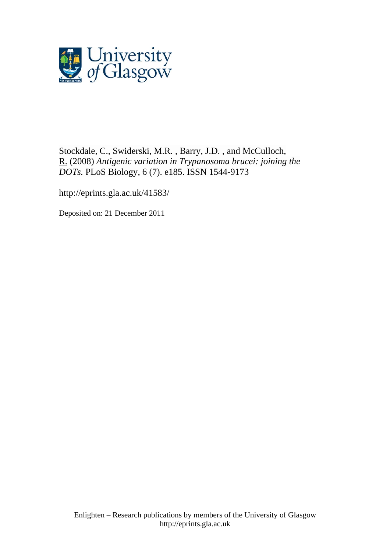

[Stockdale, C.](http://eprints.gla.ac.uk/view/author/3516.html), [Swiderski, M.R.](http://eprints.gla.ac.uk/view/author/9988.html) , [Barry, J.D.](http://eprints.gla.ac.uk/view/author/6797.html) , and [McCulloch,](http://eprints.gla.ac.uk/view/author/11481.html)  [R.](http://eprints.gla.ac.uk/view/author/11481.html) (2008) *Antigenic variation in Trypanosoma brucei: joining the DOTs.* [PLoS Biology](http://eprints.gla.ac.uk/view/journal_volume/PLoS_Biology.html), 6 (7). e185. ISSN 1544-9173

<http://eprints.gla.ac.uk/41583/>

Deposited on: 21 December 2011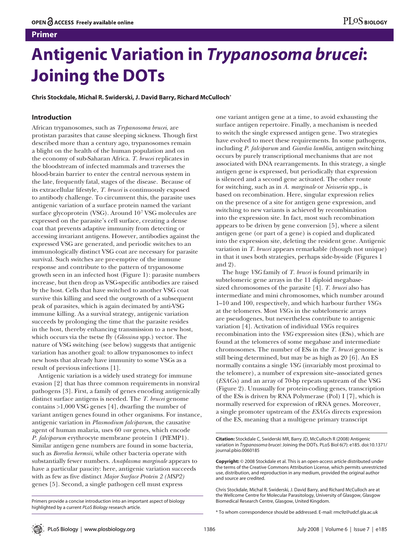# **Primer**

# **Antigenic Variation in** *Trypanosoma brucei***: Joining the DOTs**

**Chris Stockdale, Michal R. Swiderski, J. David Barry, Richard McCulloch\***

# **Introduction**

African trypanosomes, such as *Trypanosoma brucei*, are protistan parasites that cause sleeping sickness. Though first described more than a century ago, trypanosomes remain a blight on the health of the human population and on the economy of sub-Saharan Africa. *T. brucei* replicates in the bloodstream of infected mammals and traverses the blood-brain barrier to enter the central nervous system in the late, frequently fatal, stages of the disease. Because of its extracellular lifestyle, *T. brucei* is continuously exposed to antibody challenge. To circumvent this, the parasite uses antigenic variation of a surface protein named the variant surface glycoprotein (VSG). Around 107 VSG molecules are expressed on the parasite's cell surface, creating a dense coat that prevents adaptive immunity from detecting or accessing invariant antigens. However, antibodies against the expressed VSG are generated, and periodic switches to an immunologically distinct VSG coat are necessary for parasite survival. Such switches are pre-emptive of the immune response and contribute to the pattern of trypanosome growth seen in an infected host (Figure 1): parasite numbers increase, but then drop as VSG-specific antibodies are raised by the host. Cells that have switched to another VSG coat survive this killing and seed the outgrowth of a subsequent peak of parasites, which is again decimated by anti-VSG immune killing. As a survival strategy, antigenic variation succeeds by prolonging the time that the parasite resides in the host, thereby enhancing transmission to a new host, which occurs via the tsetse fly (*Glossina* spp.) vector. The nature of VSG switching (see below) suggests that antigenic variation has another goal: to allow trypanosomes to infect new hosts that already have immunity to some VSGs as a result of previous infections [1].

Antigenic variation is a widely used strategy for immune evasion [2] that has three common requirements in nonviral pathogens [3]. First, a family of genes encoding antigenically distinct surface antigens is needed. The *T. brucei* genome contains >1,000 VSG genes [4], dwarfing the number of variant antigen genes found in other organisms. For instance, antigenic variation in *Plasmodium falciparum*, the causative agent of human malaria, uses 60 *var* genes, which encode *P. falciparum* erythrocyte membrane protein 1 (PfEMP1). Similar antigen gene numbers are found in some bacteria, such as *Borrelia hermsii*, while other bacteria operate with substantially fewer numbers. *Anaplasma marginale* appears to have a particular paucity: here, antigenic variation succeeds with as few as five distinct *Major Surface Protein 2 (MSP2)* genes [5]. Second, a single pathogen cell must express

Primers provide a concise introduction into an important aspect of biology highlighted by a current *PLoS Biology* research article.

one variant antigen gene at a time, to avoid exhausting the surface antigen repertoire. Finally, a mechanism is needed to switch the single expressed antigen gene. Two strategies have evolved to meet these requirements. In some pathogens, including *P. falciparum* and *Giardia lamblia*, antigen switching occurs by purely transcriptional mechanisms that are not associated with DNA rearrangements. In this strategy, a single antigen gene is expressed, but periodically that expression is silenced and a second gene activated. The other route for switching, such as in *A. marginale* or *Neisseria* spp., is based on recombination. Here, singular expression relies on the presence of a site for antigen gene expression, and switching to new variants is achieved by recombination into the expression site. In fact, most such recombination appears to be driven by gene conversion [5], where a silent antigen gene (or part of a gene) is copied and duplicated into the expression site, deleting the resident gene. Antigenic variation in *T. brucei* appears remarkable (though not unique) in that it uses both strategies, perhaps side-by-side (Figures 1 and 2).

The huge *VSG* family of *T. brucei* is found primarily in subtelomeric gene arrays in the 11 diploid megabasesized chromosomes of the parasite [4]. *T. brucei* also has intermediate and mini chromosomes, which number around 1–10 and 100, respectively, and which harbour further *VSG*s at the telomeres. Most *VSG*s in the subtelomeric arrays are pseudogenes, but nevertheless contribute to antigenic variation [4]. Activation of individual *VSG*s requires recombination into the *VSG* expression sites (ESs), which are found at the telomeres of some megabase and intermediate chromosomes. The number of ESs in the *T. brucei* genome is still being determined, but may be as high as 20 [6]. An ES normally contains a single *VSG* (invariably most proximal to the telomere), a number of expression site–associated genes (*ESAG*s) and an array of 70-bp repeats upstream of the VSG (Figure 2). Unusually for protein-coding genes, transcription of the ESs is driven by RNA Polymerase (Pol) I [7], which is normally reserved for expression of rRNA genes. Moreover, a single promoter upstream of the *ESAG*s directs expression of the ES, meaning that a multigene primary transcript

**Citation:** Stockdale C, Swiderski MR, Barry JD, McCulloch R (2008) Antigenic variation in *Trypanosoma brucei*: Joining the DOTs. PLoS Biol 6(7): e185. doi:10.1371/ journal.pbio.0060185

**Copyright:** © 2008 Stockdale et al. This is an open-access article distributed under the terms of the Creative Commons Attribution License, which permits unrestricted use, distribution, and reproduction in any medium, provided the original author and source are credited.

\* To whom correspondence should be addressed. E-mail: rmc9z@udcf.gla.ac.uk

Chris Stockdale, Michal R. Swiderski, J. David Barry, and Richard McCulloch are at the Wellcome Centre for Molecular Parasitology, University of Glasgow, Glasgow Biomedical Research Centre, Glasgow, United Kingdom.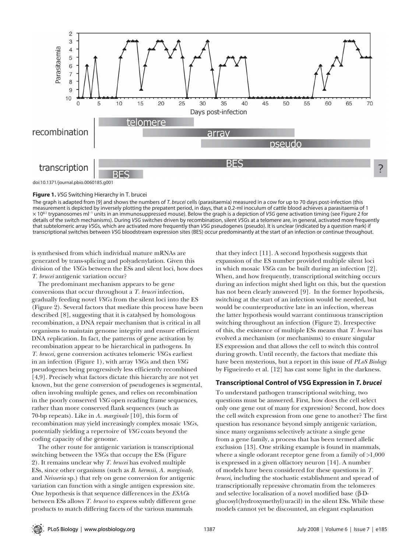

**Figure 1.** *VSG* Switching Hierarchy in T. brucei

The graph is adapted from [9] and shows the numbers of *T. brucei* cells (parasitaemia) measured in a cow for up to 70 days post-infection (this measurement is depicted by inversely plotting the prepatent period, in days, that a 0.2-ml inoculum of cattle blood achieves a parasitaemia of 1 × 108.1 trypanosomes ml−1 units in an immunosuppressed mouse). Below the graph is a depiction of *VSG* gene activation timing (see Figure 2 for details of the switch mechanisms). During *VSG* switches driven by recombination, silent *VSG*s at a telomere are, in general, activated more frequently that subtelomeric array *VSG*s, which are activated more frequently than *VSG* pseudogenes (pseudo). It is unclear (indicated by a question mark) if transcriptional switches between *VSG* bloodstream expression sites (BES) occur predominantly at the start of an infection or continue throughout.

is synthesised from which individual mature mRNAs are generated by trans-splicing and polyadenylation. Given this division of the *VSG*s between the ESs and silent loci, how does *T. brucei* antigenic variation occur?

The predominant mechanism appears to be gene conversions that occur throughout a *T. brucei* infection, gradually feeding novel *VSGs* from the silent loci into the ES (Figure 2). Several factors that mediate this process have been described [8], suggesting that it is catalysed by homologous recombination, a DNA repair mechanism that is critical in all organisms to maintain genome integrity and ensure efficient DNA replication. In fact, the patterns of gene activation by recombination appear to be hierarchical in pathogens. In *T. brucei*, gene conversion activates telomeric *VSG*s earliest in an infection (Figure 1), with array *VSG*s and then *VSG* pseudogenes being progressively less efficiently recombined [4,9]. Precisely what factors dictate this hierarchy are not yet known, but the gene conversion of pseudogenes is segmental, often involving multiple genes, and relies on recombination in the poorly conserved *VSG* open reading frame sequences, rather than more conserved flank sequences (such as 70-bp repeats). Like in *A. marginale* [10], this form of recombination may yield increasingly complex mosaic *VSG*s, potentially yielding a repertoire of *VSG* coats beyond the coding capacity of the genome.

The other route for antigenic variation is transcriptional switching between the *VSG*s that occupy the ESs (Figure 2). It remains unclear why *T. brucei* has evolved multiple ESs, since other organisms (such as *B. hermsii*, *A. marginale*, and *Neisseria* sp.) that rely on gene conversion for antigenic variation can function with a single antigen expression site. One hypothesis is that sequence differences in the *ESAG*s between ESs allows *T. brucei* to express subtly different gene products to match differing facets of the various mammals

that they infect [11]. A second hypothesis suggests that expansion of the ES number provided multiple silent loci in which mosaic *VSG*s can be built during an infection [2]. When, and how frequently, transcriptional switching occurs during an infection might shed light on this, but the question has not been clearly answered [9]. In the former hypothesis, switching at the start of an infection would be needed, but would be counterproductive late in an infection, whereas the latter hypothesis would warrant continuous transcription switching throughout an infection (Figure 2). Irrespective of this, the existence of multiple ESs means that *T. brucei* has evolved a mechanism (or mechanisms) to ensure singular ES expression and that allows the cell to switch this control during growth. Until recently, the factors that mediate this have been mysterious, but a report in this issue of *PLoS Biology* by Figueiredo et al. [12] has cast some light in the darkness.

### **Transcriptional Control of VSG Expression in** *T. brucei*

To understand pathogen transcriptional switching, two questions must be answered. First, how does the cell select only one gene out of many for expression? Second, how does the cell switch expression from one gene to another? The first question has resonance beyond simply antigenic variation, since many organisms selectively activate a single gene from a gene family, a process that has been termed allelic exclusion [13]. One striking example is found in mammals, where a single odorant receptor gene from a family of >1,000 is expressed in a given olfactory neuron [14]. A number of models have been considered for these questions in *T. brucei*, including the stochastic establishment and spread of transcriptionally repressive chromatin from the telomeres and selective localisation of a novel modified base (β-Dglucosyl(hydroxymethyl)uracil) in the silent ESs. While these models cannot yet be discounted, an elegant explanation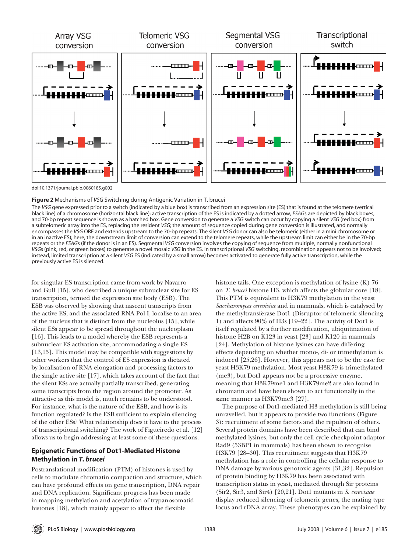

doi:10.1371/journal.pbio.0060185.g002

**Figure 2** Mechanisms of *VSG* Switching during Antigenic Variation in T. brucei

The *VSG* gene expressed prior to a switch (indicated by a blue box) is transcribed from an expression site (ES) that is found at the telomere (vertical black line) of a chromosome (horizontal black line); active transcription of the ES is indicated by a dotted arrow, *ESAG*s are depicted by black boxes, and 70-bp repeat sequence is shown as a hatched box. Gene conversion to generate a *VSG* switch can occur by copying a silent *VSG* (red box) from a subtelomeric array into the ES, replacing the resident *VSG*; the amount of sequence copied during gene conversion is illustrated, and normally encompasses the *VSG* ORF and extends upstream to the 70-bp repeats. The silent *VSG* donor can also be telomeric (either in a mini chromosome or in an inactive ES); here, the downstream limit of conversion can extend to the telomere repeats, while the upstream limit can either be in the 70-bp repeats or the *ESAG*s (if the donor is in an ES). Segmental *VSG* conversion involves the copying of sequence from multiple, normally nonfunctional *VSG*s (pink, red, or green boxes) to generate a novel mosaic *VSG* in the ES. In transcriptional *VSG* switching, recombination appears not to be involved; instead, limited transcription at a silent *VSG* ES (indicated by a small arrow) becomes activated to generate fully active transcription, while the previously active ES is silenced.

for singular ES transcription came from work by Navarro and Gull [15], who described a unique subnuclear site for ES transcription, termed the expression site body (ESB). The ESB was observed by showing that nascent transcripts from the active ES, and the associated RNA Pol I, localise to an area of the nucleus that is distinct from the nucleolus [15], while silent ESs appear to be spread throughout the nucleoplasm [16]. This leads to a model whereby the ESB represents a subnuclear ES activation site, accommodating a single ES [13,15]. This model may be compatible with suggestions by other workers that the control of ES expression is dictated by localisation of RNA elongation and processing factors to the single active site [17], which takes account of the fact that the silent ESs are actually partially transcribed, generating some transcripts from the region around the promoter. As attractive as this model is, much remains to be understood. For instance, what is the nature of the ESB, and how is its function regulated? Is the ESB sufficient to explain silencing of the other ESs? What relationship does it have to the process of transcriptional switching? The work of Figueiredo et al. [12] allows us to begin addressing at least some of these questions.

# **Epigenetic Functions of Dot1-Mediated Histone Methylation in** *T. brucei*

Postranslational modification (PTM) of histones is used by cells to modulate chromatin compaction and structure, which can have profound effects on gene transcription, DNA repair and DNA replication. Significant progress has been made in mapping methylation and acetylation of trypanosomatid histones [18], which mainly appear to affect the flexible

histone tails. One exception is methylation of lysine (K) 76 on *T. brucei* histone H3, which affects the globular core [18]. This PTM is equivalent to H3K79 methylation in the yeast *Saccharomyces cerevisiae* and in mammals, which is catalysed by the methyltransferase Dot1 (Disruptor of telomeric silencing 1) and affects 90% of H3s [19–22]. The activity of Dot1 is itself regulated by a further modification, ubiquitination of histone H2B on K123 in yeast [23] and K120 in mammals [24]. Methylation of histone lysines can have differing effects depending on whether mono-, di- or trimethylation is induced [25,26]. However, this appears not to be the case for yeast H3K79 methylation. Most yeast H3K79 is trimethylated (me3), but Dot1 appears not be a processive enzyme, meaning that H3K79me1 and H3K79me2 are also found in chromatin and have been shown to act functionally in the same manner as H3K79me3 [27].

The purpose of Dot1-mediated H3 methylation is still being unravelled, but it appears to provide two functions (Figure 3): recruitment of some factors and the repulsion of others. Several protein domains have been described that can bind methylated lysines, but only the cell cycle checkpoint adaptor Rad9 (53BP1 in mammals) has been shown to recognise H3K79 [28–30]. This recruitment suggests that H3K79 methylation has a role in controlling the cellular response to DNA damage by various genotoxic agents [31,32]. Repulsion of protein binding by H3K79 has been associated with transcription status in yeast, mediated through Sir proteins (Sir2, Sir3, and Sir4) [20,21]. Dot1 mutants in *S. cerevisiae* display reduced silencing of telomeric genes, the mating type locus and rDNA array. These phenotypes can be explained by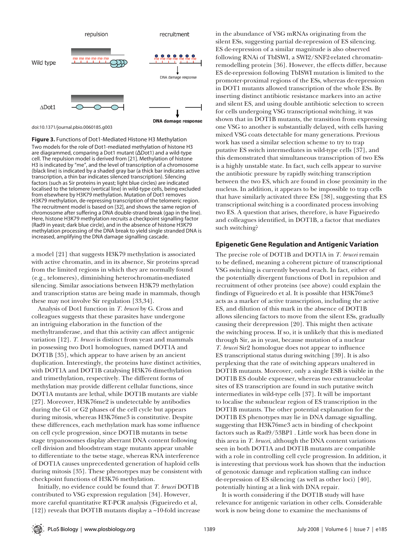

doi:10.1371/journal.pbio.0060185.g003

**Figure 3.** Functions of Dot1-Mediated Histone H3 Methylation Two models for the role of Dot1-mediated methylation of histone H3 are diagrammed, comparing a Dot1 mutant (ΔDot1) and a wild-type cell. The repulsion model is derived from [21]. Methylation of histone H3 is indicated by "me", and the level of transcription of a chromosome (black line) is indicated by a shaded gray bar (a thick bar indicates active transcription, a thin bar indicates silenced transcription). Silencing factors (such as Sir proteins in yeast; light blue circles) are indicated localised to the telomere (vertical line) in wild-type cells, being excluded from elsewhere by H3K79 methylation. Mutation of Dot1 removes H3K79 methylation, de-repressing transcription of the telomeric region. The recruitment model is based on [32], and shows the same region of chromosome after suffering a DNA double-strand break (gap in the line). Here, histone H3K79 methylation recruits a checkpoint signalling factor (Rad9 in yeast; dark blue circle), and in the absence of histone H3K79 methylation processing of the DNA break to yield single stranded DNA is increased, amplifying the DNA damage signalling cascade.

a model [21] that suggests H3K79 methylation is associated with active chromatin, and in its absence, Sir proteins spread from the limited regions in which they are normally found (e.g., telomeres), diminishing heterochromatin-mediated silencing. Similar associations between H3K79 methylation and transcription status are being made in mammals, though these may not involve Sir regulation [33,34].

Analysis of Dot1 function in *T. brucei* by G. Cross and colleagues suggests that these parasites have undergone an intriguing elaboration in the function of the methyltransferase, and that this activity can affect antigenic variation [12]. *T. brucei* is distinct from yeast and mammals in possessing two Dot1 homologues, named DOT1A and DOT1B [35], which appear to have arisen by an ancient duplication. Interestingly, the proteins have distinct activities, with DOT1A and DOT1B catalysing H3K76 dimethylation and trimethylation, respectively. The different forms of methylation may provide different cellular functions, since DOT1A mutants are lethal, while DOT1B mutants are viable [27]. Moreover, H3K76me2 is undetectable by antibodies during the G1 or G2 phases of the cell cycle but appears during mitosis, whereas H3K76me3 is constitutive. Despite these differences, each methylation mark has some influence on cell cycle progression, since DOT1B mutants in tsetse stage trypanosomes display aberrant DNA content following cell division and bloodstream stage mutants appear unable to differentiate to the tsetse stage, whereas RNA interference of DOT1A causes unprecedented generation of haploid cells during mitosis [35]. These phenotypes may be consistent with checkpoint functions of H3K76 methylation.

Initially, no evidence could be found that *T. brucei* DOT1B contributed to VSG expression regulation [34]. However, more careful quantitative RT-PCR analysis (Figueiredo et al, [12]) reveals that DOT1B mutants display a ~10-fold increase in the abundance of VSG mRNAs originating from the silent ESs, suggesting partial de-repression of ES silencing. ES de-repression of a similar magnitude is also observed following RNAi of TbISWI, a SWI2/SNF2-related chromatinremodelling protein [36]. However, the effects differ, because ES de-repression following TbISWI mutation is limited to the promoter-proximal regions of the ESs, whereas de-repression in DOT1 mutants allowed transcription of the whole ESs. By inserting distinct antibiotic resistance markers into an active and silent ES, and using double antibiotic selection to screen for cells undergoing VSG transcriptional switching, it was shown that in DOT1B mutants, the transition from expressing one VSG to another is substantially delayed, with cells having mixed VSG coats detectable for many generations. Previous work has used a similar selection scheme to try to trap putative ES switch intermediates in wild-type cells [37], and this demonstrated that simultaneous transcription of two ESs is a highly unstable state. In fact, such cells appear to survive the antibiotic pressure by rapidly switching transcription between the two ES, which are found in close proximity in the nucleus. In addition, it appears to be impossible to trap cells that have similarly activated three ESs [38], suggesting that ES transcriptional switching is a coordinated process involving two ES. A question that arises, therefore, is have Figueiredo and colleagues identified, in DOT1B, a factor that mediates such switching?

#### **Epigenetic Gene Regulation and Antigenic Variation**

The precise role of DOT1B and DOT1A in *T. brucei* remain to be defined, meaning a coherent picture of transcriptional VSG switching is currently beyond reach. In fact, either of the potentially divergent functions of Dot1 in repulsion and recruitment of other proteins (see above) could explain the findings of Figueiredo et al. It is possible that H3K76me3 acts as a marker of active transcription, including the active ES, and dilution of this mark in the absence of DOT1B allows silencing factors to move from the silent ESs, gradually causing their derepression [20]. This might then activate the switching process. If so, it is unlikely that this is mediated through Sir, as in yeast, because mutation of a nuclear *T. brucei* Sir2 homologue does not appear to influence ES transcriptional status during switching [39]. It is also perplexing that the rate of switching appears unaltered in DOT1B mutants. Moreover, only a single ESB is visible in the DOT1B ES double expresser, whereas two extranucleolar sites of ES transcription are found in such putative switch intermediates in wild-type cells [37]. It will be important to localise the subnuclear region of ES transcription in the DOT1B mutants. The other potential explanation for the DOT1B ES phenotypes may lie in DNA damage signalling, suggesting that H3K76me3 acts in binding of checkpoint factors such as Rad9/53BP1 . Little work has been done in this area in *T. brucei*, although the DNA content variations seen in both DOT1A and DOT1B mutants are compatible with a role in controlling cell cycle progression. In addition, it is interesting that previous work has shown that the induction of genotoxic damage and replication stalling can induce de-repression of ES silencing (as well as other loci) [40], potentially hinting at a link with DNA repair.

It is worth considering if the DOT1B study will have relevance for antigenic variation in other cells. Considerable work is now being done to examine the mechanisms of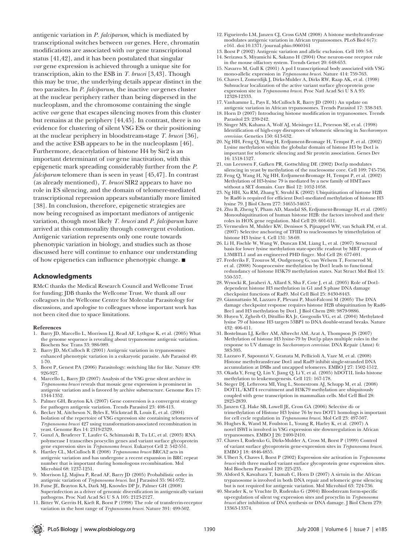antigenic variation in *P. falciparum*, which is mediated by transcriptional switches between *var* genes. Here, chromatin modifications are associated with *var* gene transcriptional status [41,42], and it has been postulated that singular *var* gene expression is achieved through a unique site for transcription, akin to the ESB in *T. brucei* [3,43]. Though this may be true, the underlying details appear distinct in the two parasites. In *P. falciparum*, the inactive *var* genes cluster at the nuclear periphery rather than being dispersed in the nucleoplasm, and the chromosome containing the single active *var* gene that escapes silencing moves from this cluster but remains at the periphery [44,45]. In contrast, there is no evidence for clustering of silent VSG ESs or their positioning at the nuclear periphery in bloodstream-stage *T. brucei* [36], and the active ESB appears to be in the nucleoplasm [46]. Furthermore, deacetylation of histone H4 by Sir2 is an important determinant of *var* gene inactivation, with this epigenetic mark spreading considerably further from the *P. falciparum* telomere than is seen in yeast [45,47]. In contrast (as already mentioned), *T. brucei* SIR2 appears to have no role in ES silencing, and the domain of telomere-mediated transcriptional repression appears substantially more limited [38]. In conclusion, therefore, epigenetic strategies are now being recognised as important mediators of antigenic variation, though most likely *T. brucei* and *P. falciparum* have arrived at this commonality through convergent evolution. Antigenic variation represents only one route towards phenotypic variation in biology, and studies such as those discussed here will continue to enhance our understanding of how epigenetics can influence phenotypic change. ■

### **Acknowledgments**

RMcC thanks the Medical Research Council and Wellcome Trust for funding; JDB thanks the Wellcome Trust. We thank all our colleagues in the Wellcome Centre for Molecular Parasitology for discussions, and apologise to colleagues whose important work has not been cited due to space limitations.

#### **References**

- 1. Barry JD, Marcello L, Morrison LJ, Read AF, Lythgoe K, et al. (2005) What the genome sequence is revealing about trypanosome antigenic variation. Biochem Soc Trans 33: 986-989.
- 2. Barry JD, McCulloch R (2001) Antigenic variation in trypanosomes: enhanced phenotypic variation in a eukaryotic parasite. Adv Parasitol 49: 1-70.
- 3. Borst P, Genest PA (2006) Parasitology: switching like for like. Nature 439: 926-927.
- Marcello L, Barry JD (2007) Analysis of the VSG gene silent archive in *Trypanosoma brucei* reveals that mosaic gene expression is prominent in antigenic variation and is favored by archive substructure. Genome Res 17: 1344-1352.
- 5. Palmer GH, Brayton KA (2007) Gene conversion is a convergent strategy for pathogen antigenic variation. Trends Parasitol 23: 408-413.
- 6. Becker M, Aitcheson N, Byles E, Wickstead B, Louis E, et al. (2004) Isolation of the repertoire of VSG expression site containing telomeres of *Trypanosoma brucei* 427 using transformation-associated recombination in yeast. Genome Res 14: 2319-2329.
- 7. Gunzl A, Bruderer T, Laufer G, Schimanski B, Tu LC, et al. (2003) RNA polymerase I transcribes procyclin genes and variant surface glycoprotein gene expression sites in *Trypanosoma brucei*. Eukaryot Cell 2: 542-551.
- 8. Hartley CL, McCulloch R (2008) *Trypanosoma brucei* BRCA2 acts in antigenic variation and has undergone a recent expansion in BRC repeat number that is important during homologous recombination. Mol Microbiol 68: 1237-1251.
- 9. Morrison LJ, Majiwa P, Read AF, Barry JD (2005) Probabilistic order in antigenic variation of *Trypanosoma brucei*. Int J Parasitol 35: 961-972.
- 10. Futse JE, Brayton KA, Dark MJ, Knowles DP Jr, Palmer GH (2008) Superinfection as a driver of genomic diversification in antigenically variant pathogens. Proc Natl Acad Sci U S A 105: 2123-2127.
- 11. Bitter W, Gerrits H, Kieft R, Borst P (1998) The role of transferrin-receptor variation in the host range of *Trypanosoma brucei*. Nature 391: 499-502.
- 12. Figueiredo LM, Janzen CJ, Cross GAM (2008) A histone methyltransferase modulates antigenic variation in African trypanosomes. PLoS Biol 6(7): e161. doi:10.1371/journal.pbio.0060161
- 13. Borst P (2002) Antigenic variation and allelic exclusion. Cell 109: 5-8.
- 14. Serizawa S, Miyamichi K, Sakano H (2004) One neuron-one receptor rule in the mouse olfactory system. Trends Genet 20: 648-653.
- 15. Navarro M, Gull K (2001) A pol I transcriptional body associated with VSG mono-allelic expression in *Trypanosoma brucei*. Nature 414: 759-763.
- 16. Chaves I, Zomerdijk J, Dirks-Mulder A, Dirks RW, Raap AK, et al. (1998) Subnuclear localization of the active variant surface glycoprotein gene expression site in *Trypanosoma brucei*. Proc Natl Acad Sci U S A 95: 12328-12333.
- 17. Vanhamme L, Pays E, McCulloch R, Barry JD (2001) An update on antigenic variation in African trypanosomes. Trends Parasitol 17: 338-343.
- 18. Horn D (2007) Introducing histone modification in trypanosomes. Trends Parasitol 23: 239-242.
- 19. Singer MS, Kahana A, Wolf AJ, Meisinger LL, Peterson SE, et al. (1998) Identification of high-copy disruptors of telomeric silencing in *Saccharomyces cerevisiae*. Genetics 150: 613-632.
- 20. Ng HH, Feng Q, Wang H, Erdjument-Bromage H, Tempst P, et al. (2002) Lysine methylation within the globular domain of histone H3 by Dot1 is important for telomeric silencing and Sir protein association. Genes Dev 16: 1518-1527.
- 21. van Leeuwen F, Gafken PR, Gottschling DE (2002) Dot1p modulates silencing in yeast by methylation of the nucleosome core. Cell 109: 745-756.
- 22. Feng Q, Wang H, Ng HH, Erdjument-Bromage H, Tempst P, et al. (2002) Methylation of H3-lysine 79 is mediated by a new family of HMTases without a SET domain. Curr Biol 12: 1052-1058.
- 23. Ng HH, Xu RM, Zhang Y, Struhl K (2002) Ubiquitination of histone H2B by Rad6 is required for efficient Dot1-mediated methylation of histone H3 lysine 79. J Biol Chem 277: 34655-34657.
- 24. Zhu B, Zheng Y, Pham AD, Mandal SS, Erdjument-Bromage H, et al. (2005) Monoubiquitination of human histone H2B: the factors involved and their roles in HOX gene regulation. Mol Cell 20: 601-611.
- 25. Vermeulen M, Mulder KW, Denissov S, Pijnappel WW, van Schaik FM, et al. (2007) Selective anchoring of TFIID to nucleosomes by trimethylation of histone H3 lysine 4. Cell 131: 58-69.
- 26. Li H, Fischle W, Wang W, Duncan EM, Liang L, et al. (2007) Structural basis for lower lysine methylation state-specific readout by MBT repeats of L3MBTL1 and an engineered PHD finger. Mol Cell 28: 677-691.
- 27. Frederiks F, Tzouros M, Oudgenoeg G, van Welsem T, Fornerod M, et al. (2008) Nonprocessive methylation by Dot1 leads to functional redundancy of histone H3K79 methylation states. Nat Struct Mol Biol 15: 550-557.
- 28. Wysocki R, Javaheri A, Allard S, Sha F, Cote J, et al. (2005) Role of Dot1 dependent histone H3 methylation in G1 and S phase DNA damage checkpoint functions of Rad9. Mol Cell Biol 25: 8430-8443.
- 29. Giannattasio M, Lazzaro F, Plevani P, Muzi-Falconi M (2005) The DNA damage checkpoint response requires histone H2B ubiquitination by Rad6- Bre1 and H3 methylation by Dot1. J Biol Chem 280: 9879-9886.
- 30. Huyen Y, Zgheib O, Ditullio RA Jr, Gorgoulis VG, et al. (2004) Methylated lysine 79 of histone H3 targets 53BP1 to DNA double-strand breaks. Nature 432: 406-411.
- 31. Bostelman LJ, Keller AM, Albrecht AM, Arat A, Thompson JS (2007) Methylation of histone H3 lysine-79 by Dot1p plays multiple roles in the response to UV damage in *Saccharomyces cerevisiae*. DNA Repair (Amst) 6: 383-395.
- 32. Lazzaro F, Sapountzi V, Granata M, Pellicioli A, Vaze M, et al. (2008) Histone methyltransferase Dot1 and Rad9 inhibit single-stranded DNA accumulation at DSBs and uncapped telomeres. EMBO J 27: 1502-1512.
- 33. Okada Y, Feng Q, Lin Y, Jiang Q, Li Y, et al. (2005) hDOT1L links histone methylation to leukemogenesis. Cell 121: 167-178.
- 34. Steger DJ, Lefterova MI, Ying L, Stonestrom AJ, Schupp M, et al. (2008) DOT1L/KMT4 recruitment and H3K79 methylation are ubiquitously coupled with gene transcription in mammalian cells. Mol Cell Biol 28: 2825-2839.
- 35. Janzen CJ, Hake SB, Lowell JE, Cross GA (2006) Selective di- or trimethylation of Histone H3 lysine 76 by two DOT1 homologs is important for cell cycle regulation in *Trypanosoma brucei*. Mol Cell 23: 497-507.
- 36. Hughes K, Wand M, Foulston L, Young R, Harley K, et al. (2007) A novel ISWI is involved in VSG expression site downregulation in African trypanosomes. EMBO J 26: 2400-2410.
- 37. Chaves I, Rudenko G, Dirks-Mulder A, Cross M, Borst P (1999) Control of variant surface glycoprotein gene-expression sites in *Trypanosoma brucei*. EMBO | 18: 4846-4855.
- 38. Ulbert S, Chaves I, Borst P (2002) Expression site activation in *Trypanosoma brucei* with three marked variant surface glycoprotein gene expression sites. Mol Biochem Parasitol 120: 225-235.
- 39. Alsford S, Kawahara T, Isamah C, Horn D (2007) A sirtuin in the African trypanosome is involved in both DNA repair and telomeric gene silencing but is not required for antigenic variation. Mol Microbiol 63: 724-736.
- 40. Sheader K, te Vruchte D, Rudenko G (2004) Bloodstream form-specific up-regulation of silent vsg expression sites and procyclin in *Trypanosoma brucei* after inhibition of DNA synthesis or DNA damage. J Biol Chem 279: 13363-13374.